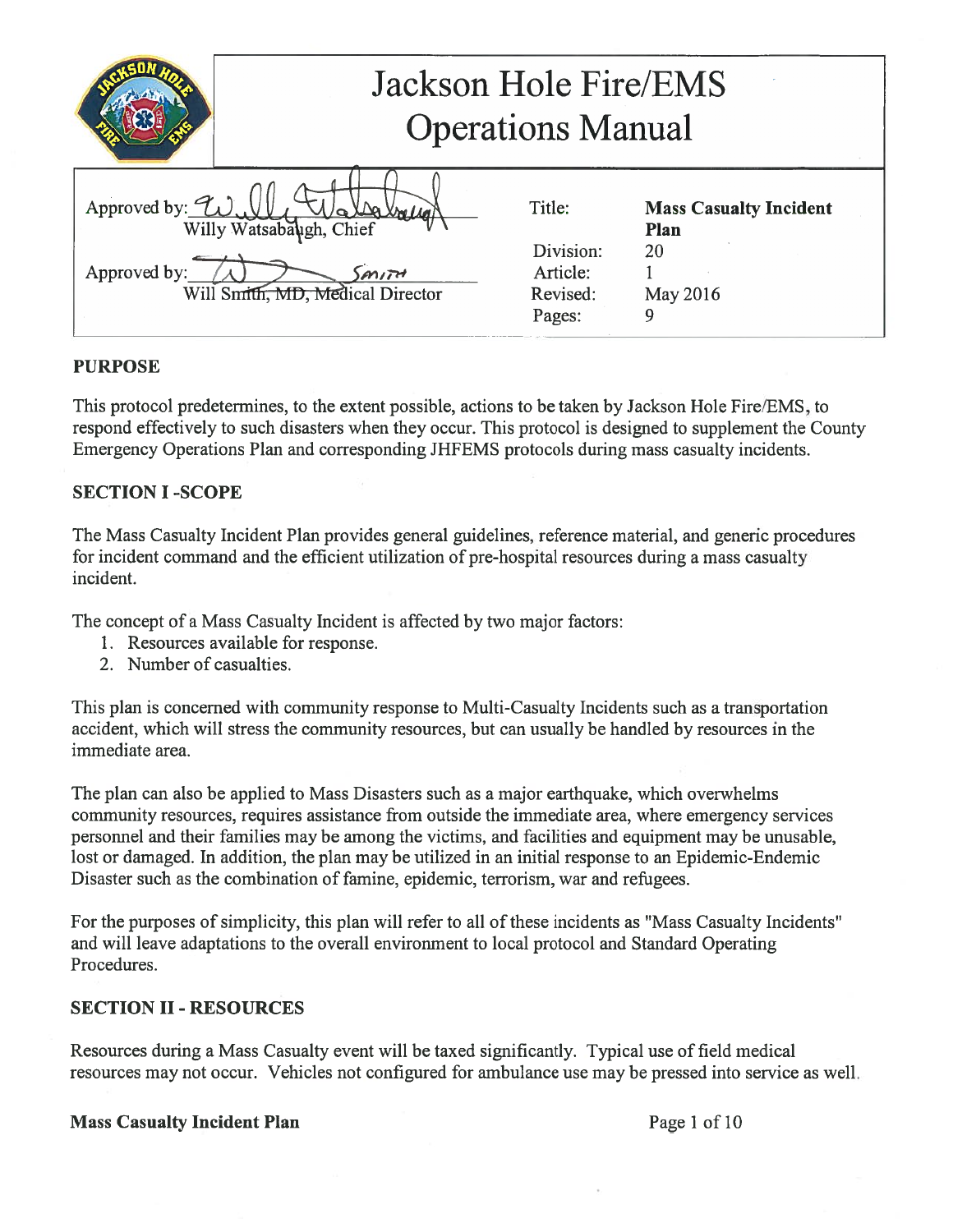|                                            | Jackson Hole Fire/EMS<br><b>Operations Manual</b>                      |                                                       |                                                         |
|--------------------------------------------|------------------------------------------------------------------------|-------------------------------------------------------|---------------------------------------------------------|
| Approved by: $\mathcal{L}$<br>Approved by: | Willy Watsabaugh, Chief<br>$m$ $m$<br>Will Smith, MD, Medical Director | Title:<br>Division:<br>Article:<br>Revised:<br>Pages: | <b>Mass Casualty Incident</b><br>Plan<br>20<br>May 2016 |

## PURPOSE

This protocol predetermines, to the extent possible, actions to be taken by Jackson Hole Fire/EMS, to respond effectively to such disasters when they occur. This protocol is designed to supplement the County Emergency Operations Plan and corresponding JHFEMS protocols during mass casualty incidents.

## SECTION I -SCOPE

The Mass Casualty Incident Plan provides general guidelines, reference material, and generic procedures for incident command and the efficient utilization of pre-hospital resources during a mass casualty incident.

The concept of a Mass Casualty Incident is affected by two major factors:

- 1. Resources available for response.
- 2. Number of casualties.

This plan is concerned with community response to Multi-Casualty Incidents such as a transportation accident, which will stress the community resources, but can usually be handled by resources in the immediate area.

The plan can also be applied to Mass Disasters such as a major earthquake, which overwhelms community resources, requires assistance from outside the immediate area, where emergency services personnel and their families may be among the victims, and facilities and equipment may be unusable, lost or damaged. In addition, the plan may be utilized in an initial response to an Epidemic-Endemic Disaster such as the combination of famine, epidemic, terrorism, war and refugees.

For the purposes of simplicity, this plan will refer to all of these incidents as "Mass Casualty Incidents" and will leave adaptations to the overall environment to local protocol and Standard Operating Procedures.

### SECTION II- RESOURCES

Resources during a Mass Casualty event will be taxed significantly. Typical use of field medical resources may not occur. Vehicles not configured for ambulance use may be pressed into service as well.

### Mass Casualty Incident Plan **Page 1** of 10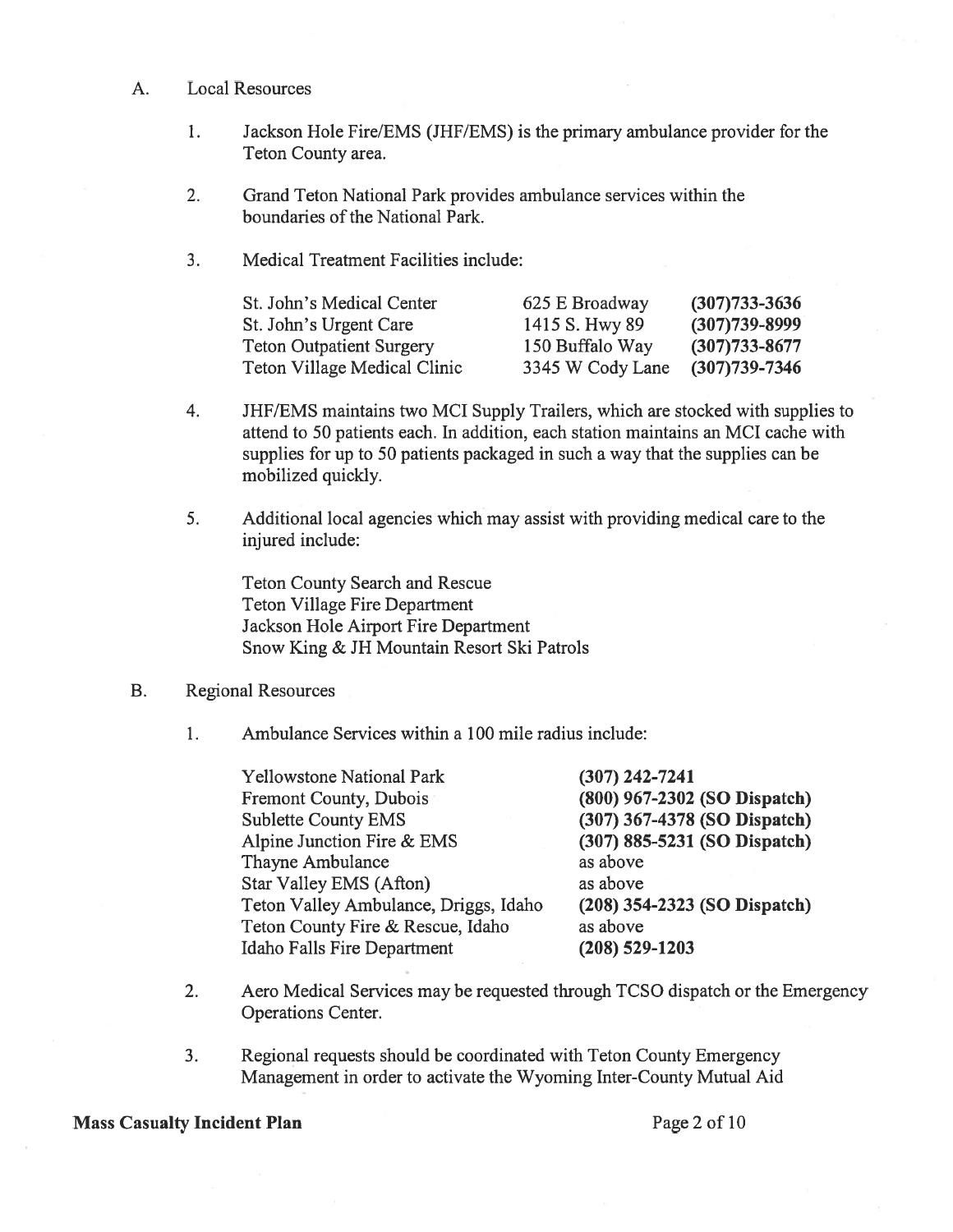- A. Local Resources
	- 1. Jackson Hole Fire/EMS (JHF/EMS) is the primary ambulance provider for the Teton County area.
	- 2. Grand Teton National Park provides ambulance services within the boundaries of the National Park.
	- 3. Medical Treatment Facilities include:

| St. John's Medical Center    | 625 E Broadway   | $(307)733 - 3636$ |
|------------------------------|------------------|-------------------|
| St. John's Urgent Care       | 1415 S. Hwy 89   | $(307)739 - 8999$ |
| Teton Outpatient Surgery     | 150 Buffalo Way  | $(307)733 - 8677$ |
| Teton Village Medical Clinic | 3345 W Cody Lane | $(307)739 - 7346$ |

- 4. JHF/EMS maintains two MCI Supply Trailers, which are stocked with supplies to attend to 50 patients each. In addition, each station maintains an MCI cache with supplies for up to 50 patients packaged in such a way that the supplies can be mobilized quickly.
- 5. Additional local agencies which may assist with providing medical care to the injured include:

Teton County Search and Rescue Teton Village Fire Department Jackson Hole Airport Fire Department Snow King & JH Mountain Resort Ski Patrols

#### B. Regional Resources

1. Ambulance Services within a 100 mile radius include:

| $(307)$ 242-7241             |
|------------------------------|
| (800) 967-2302 (SO Dispatch) |
| (307) 367-4378 (SO Dispatch) |
| (307) 885-5231 (SO Dispatch) |
| as above                     |
| as above                     |
| (208) 354-2323 (SO Dispatch) |
| as above                     |
| $(208)$ 529-1203             |
|                              |

- 2. Aero Medical Services may be requested through TCSO dispatch or the Emergency Operations Center.
- 3. Regional requests should be coordinated with Teton County Emergency Management in order to activate the Wyoming Inter-County Mutual Aid

#### Mass Casualty Incident Plan Page 2 of 10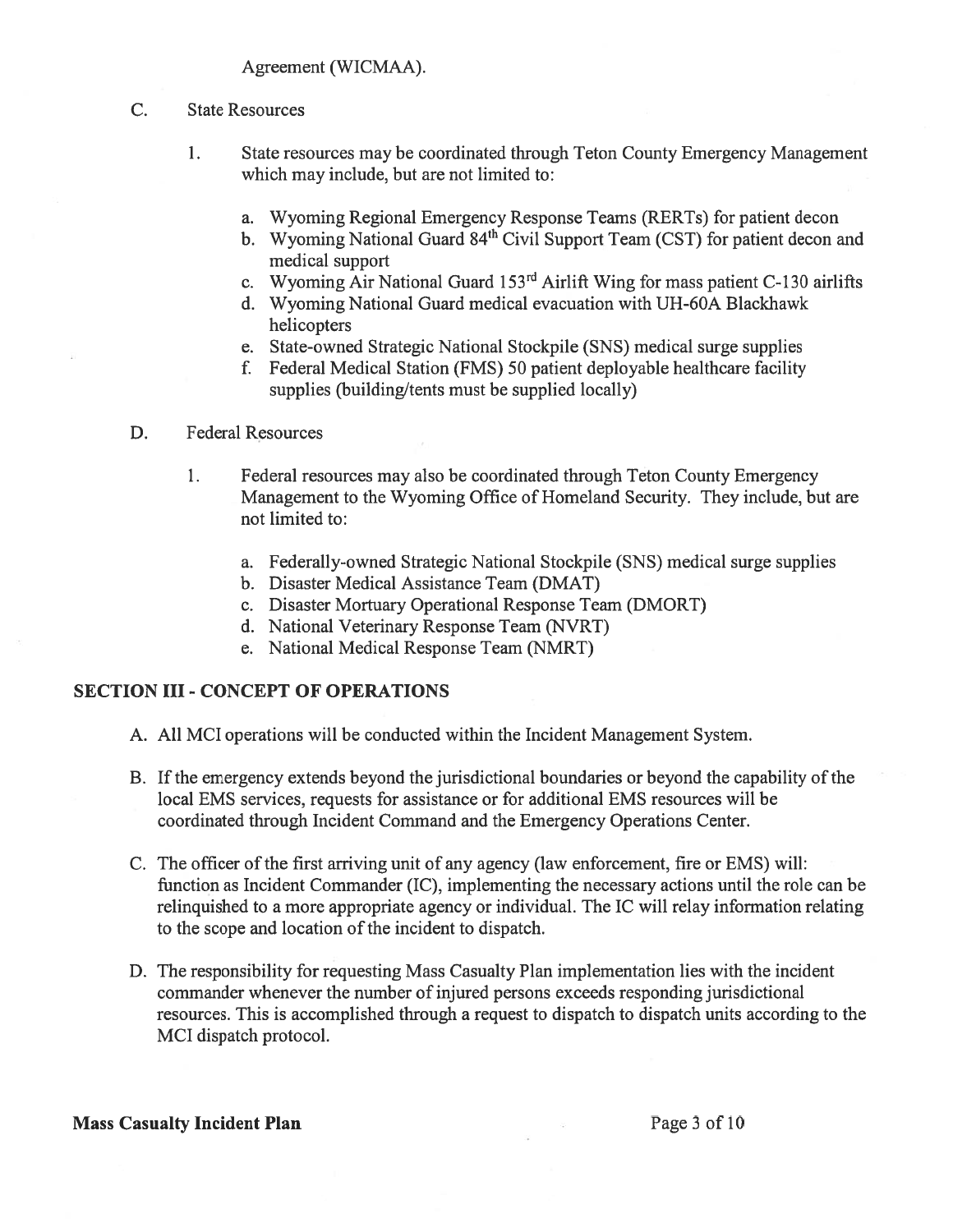#### C. State Resources

- 1. State resources may be coordinated through Teton County Emergency Management which may include, but are not limited to:
	- a. Wyoming Regional Emergency Response Teams (RERTs) for patient decon
	- b. Wyoming National Guard 84<sup>th</sup> Civil Support Team (CST) for patient decon and medical support
	- c. Wyoming Air National Guard  $153<sup>rd</sup>$  Airlift Wing for mass patient C-130 airlifts
	- d. Wyoming National Guard medical evacuation with UH-60A Blackhawk helicopters
	- e. State-owned Strategic National Stockpile (SNS) medical surge supplies
	- f. Federal Medical Station (FMS) 50 patient deployable healthcare facility supplies (building/tents must be supplied locally)

### D. Federal Resources

- 1. Federal resources may also be coordinated through Teton County Emergency Management to the Wyoming Office of Homeland Security. They include, but are not limited to:
	- a. Federally-owned Strategic National Stockpile (SNS) medical surge supplies
	- b. Disaster Medical Assistance Team (DMAT)
	- c. Disaster Mortuary Operational Response Team (DMORT)
	- d. National Veterinary Response Team (NVRT)
	- e. National Medical Response Team (NMRT)

### SECTION III -CONCEPT OF OPERATIONS

- A. All MCI operations will be conducted within the Incident Management System.
- B. Ifthe emergency extends beyond the jurisdictional boundaries or beyond the capability of the local EMS services, requests for assistance or for additional EMS resources will be coordinated through Incident Command and the Emergency Operations Center.
- C. The officer of the first arriving unit of any agency (law enforcement, fire or EMS) will: function as Incident Commander (IC), implementing the necessary actions until the role can be relinquished to a more appropriate agency or individual. The IC will relay information relating to the scope and location of the incident to dispatch.
- D. The responsibility for requesting Mass Casualty Plan implementation lies with the incident commander whenever the number of injured persons exceeds responding jurisdictional resources. This is accomplished through a request to dispatch to dispatch units according to the MCI dispatch protocol.

### Mass Casualty Incident Plan Page 3 of 10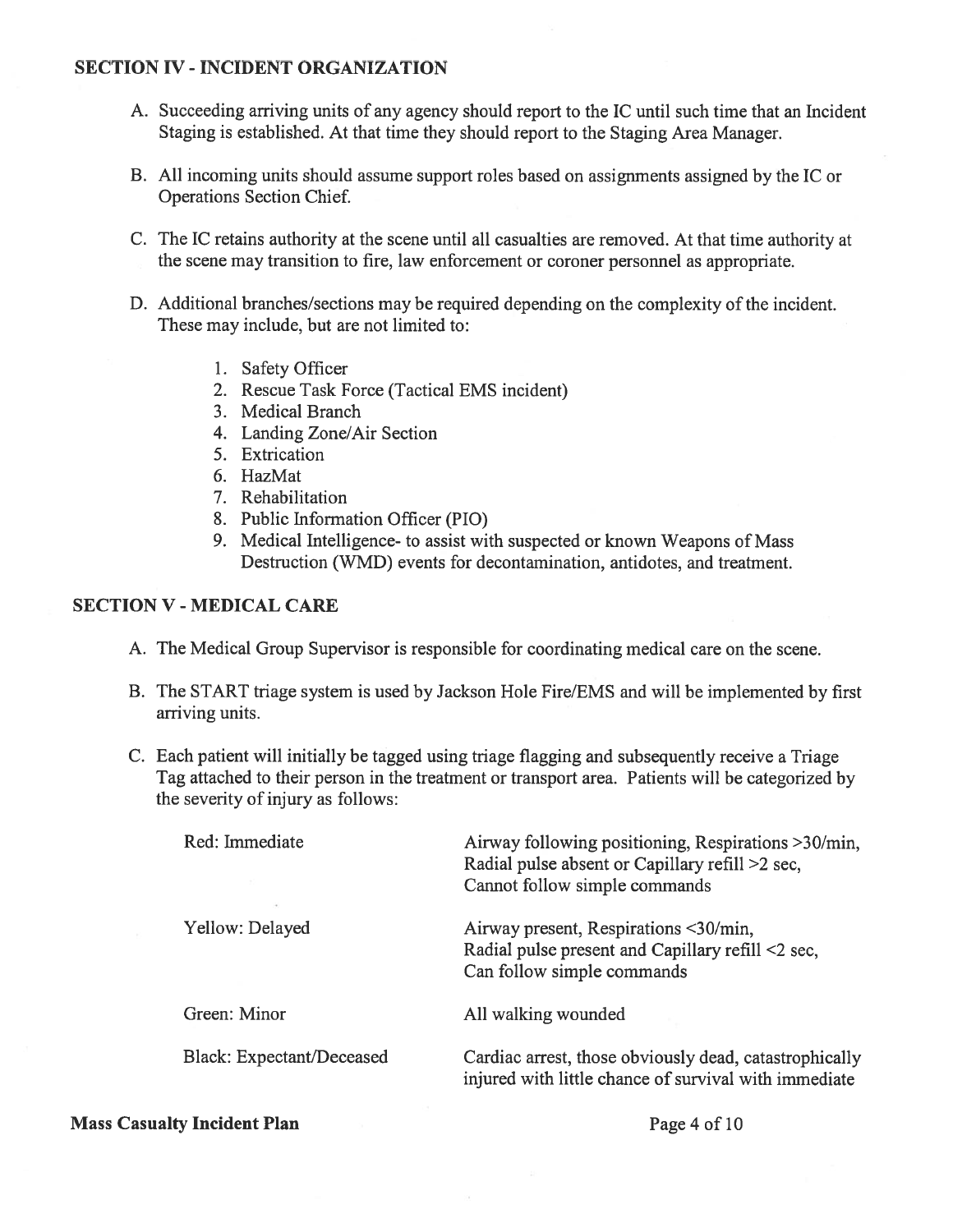### SECTION IV - INCIDENT ORGANIZATION

- A. Succeeding arriving units of any agency should report to the IC until such time that an Incident Staging is established. At that time they should report to the Staging Area Manager.
- B. All incoming units should assume support roles based on assignments assigned by the IC or Operations Section Chief.
- C. The IC retains authority at the scene until all casualties are removed. At that time authority at the scene may transition to fire, law enforcement or coroner personnel as appropriate.
- D. Additional branches/sections may be required depending on the complexity of the incident. These may include, but are not limited to:
	- 1. Safety Officer
	- 2. Rescue Task Force (Tactical EMS incident)
	- 3. Medical Branch
	- 4. Landing Zone/Air Section
	- 5. Extrication
	- 6. HazMat
	- 7. Rehabilitation
	- 8. Public Information Officer (PlO)
	- 9. Medical Intelligence- to assist with suspected or known Weapons of Mass Destruction (WMD) events for decontamination, antidotes, and treatment.

### SECTION V - MEDICAL CARE

- A. The Medical Group Supervisor is responsible for coordinating medical care on the scene.
- B. The START triage system is used by Jackson Hole Fire/EMS and will be implemented by first arriving units.
- C. Each patient will initially be tagged using triage flagging and subsequently receive a Triage Tag attached to their person in the treatment or transport area. Patients will be categorized by the severity of injury as follows:

| Red: Immediate                   | Airway following positioning, Respirations > 30/min,<br>Radial pulse absent or Capillary refill >2 sec,<br>Cannot follow simple commands |
|----------------------------------|------------------------------------------------------------------------------------------------------------------------------------------|
| Yellow: Delayed                  | Airway present, Respirations <30/min,<br>Radial pulse present and Capillary refill <2 sec,<br>Can follow simple commands                 |
| Green: Minor                     | All walking wounded                                                                                                                      |
| <b>Black: Expectant/Deceased</b> | Cardiac arrest, those obviously dead, catastrophically<br>injured with little chance of survival with immediate                          |

#### Mass Casualty Incident Plan Page 4 of 10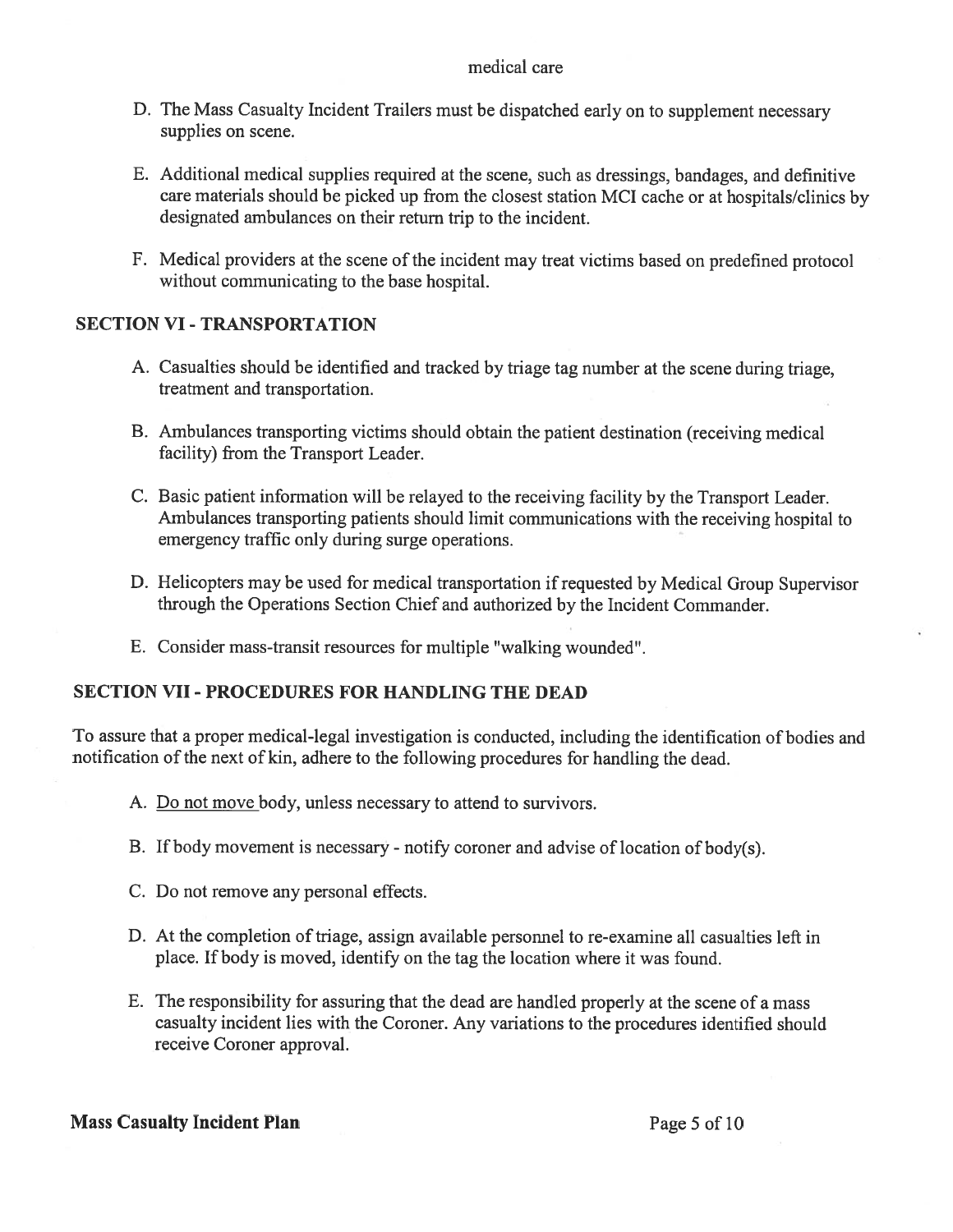### medical care

- D. The Mass Casualty Incident Trailers must be dispatched early on to supplement necessary supplies on scene.
- F. Additional medical supplies required at the scene, such as dressings, bandages, and definitive care materials should be picked up from the closest station MCI cache or at hospitals/clinics by designated ambulances on their return trip to the incident.
- F. Medical providers at the scene of the incident may treat victims based on predefined protocol without communicating to the base hospital.

## SECTION VI- TRANSPORTATION

- A. Casualties should be identified and tracked by triage tag number at the scene during triage, treatment and transportation.
- B. Ambulances transporting victims should obtain the patient destination (receiving medical facility) from the Transport Leader.
- C. Basic patient information will be relayed to the receiving facility by the Transport Leader. Ambulances transporting patients should limit communications with the receiving hospital to emergency traffic only during surge operations.
- D. Helicopters may be used for medical transportation if requested by Medical Group Supervisor through the Operations Section Chief and authorized by the Incident Commander.
- E. Consider mass-transit resources for multiple "walking wounded".

## SECTION VII- PROCEDURES FOR HANDLING THE DEAD

To assure that a proper medical-legal investigation is conducted, including the identification of bodies and notification of the next of kin, adhere to the following procedures for handling the dead.

- A. Do not move body, unless necessary to attend to survivors.
- B. If body movement is necessary notify coroner and advise of location of body(s).
- C. Do not remove any personal effects.
- D. At the completion of triage, assign available personnel to re-examine all casualties left in place. If body is moved, identify on the tag the location where it was found.
- E. The responsibility for assuring that the dead are handled properly at the scene of a mass casualty incident lies with the Coroner. Any variations to the procedures identified should receive Coroner approval.

### Mass Casualty Incident Plan Page 5 of 10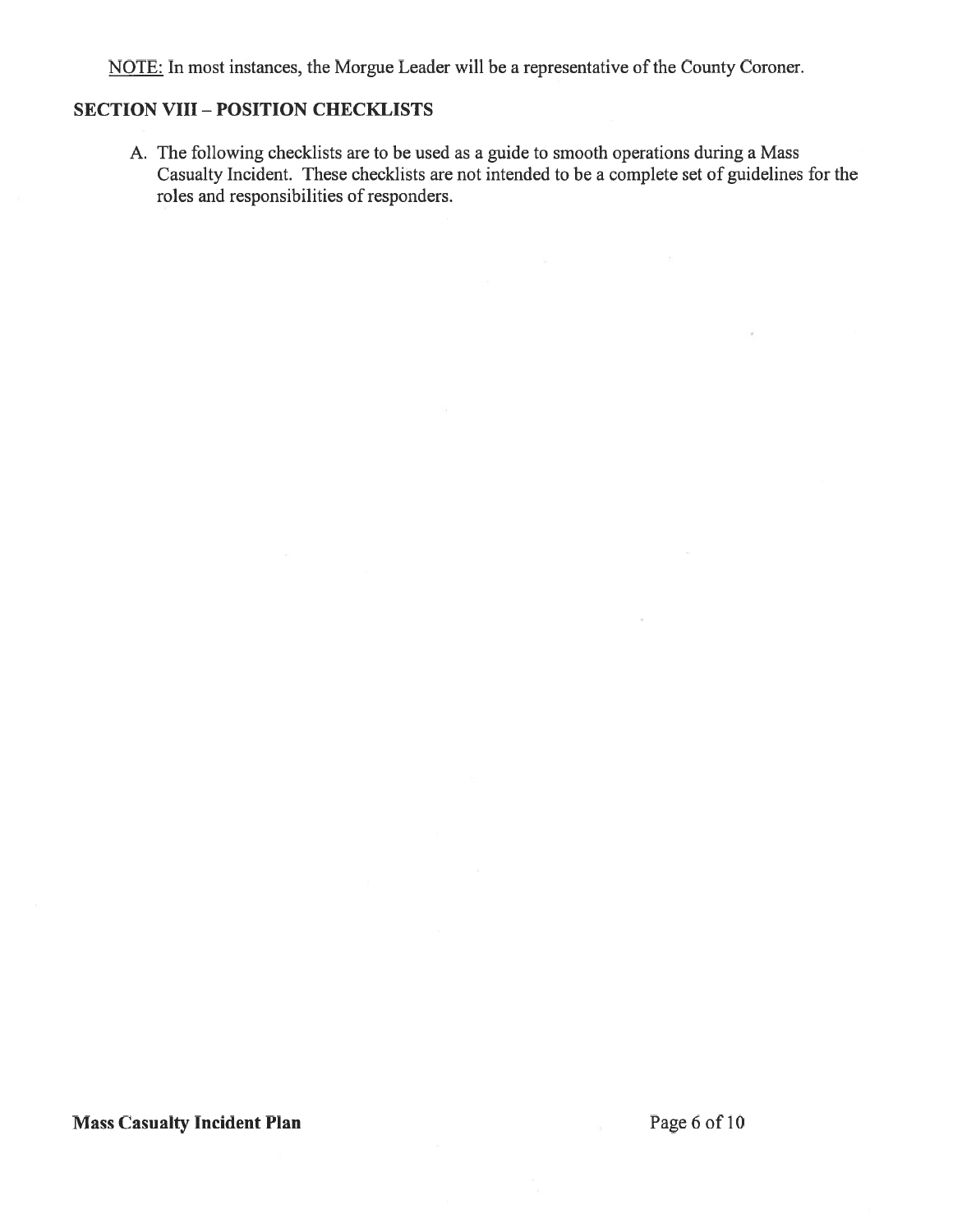NOTE: In most instances, the Morgue Leader will be a representative of the County Coroner.

### SECTION VIII- POSITION CHECKLISTS

A. The following checklists are to be used as a guide to smooth operations during a Mass Casualty Incident. These checklists are not intended to be a complete set of guidelines for the roles and responsibilities of responders.

## Mass Casualty Incident Plan Page 6 of 10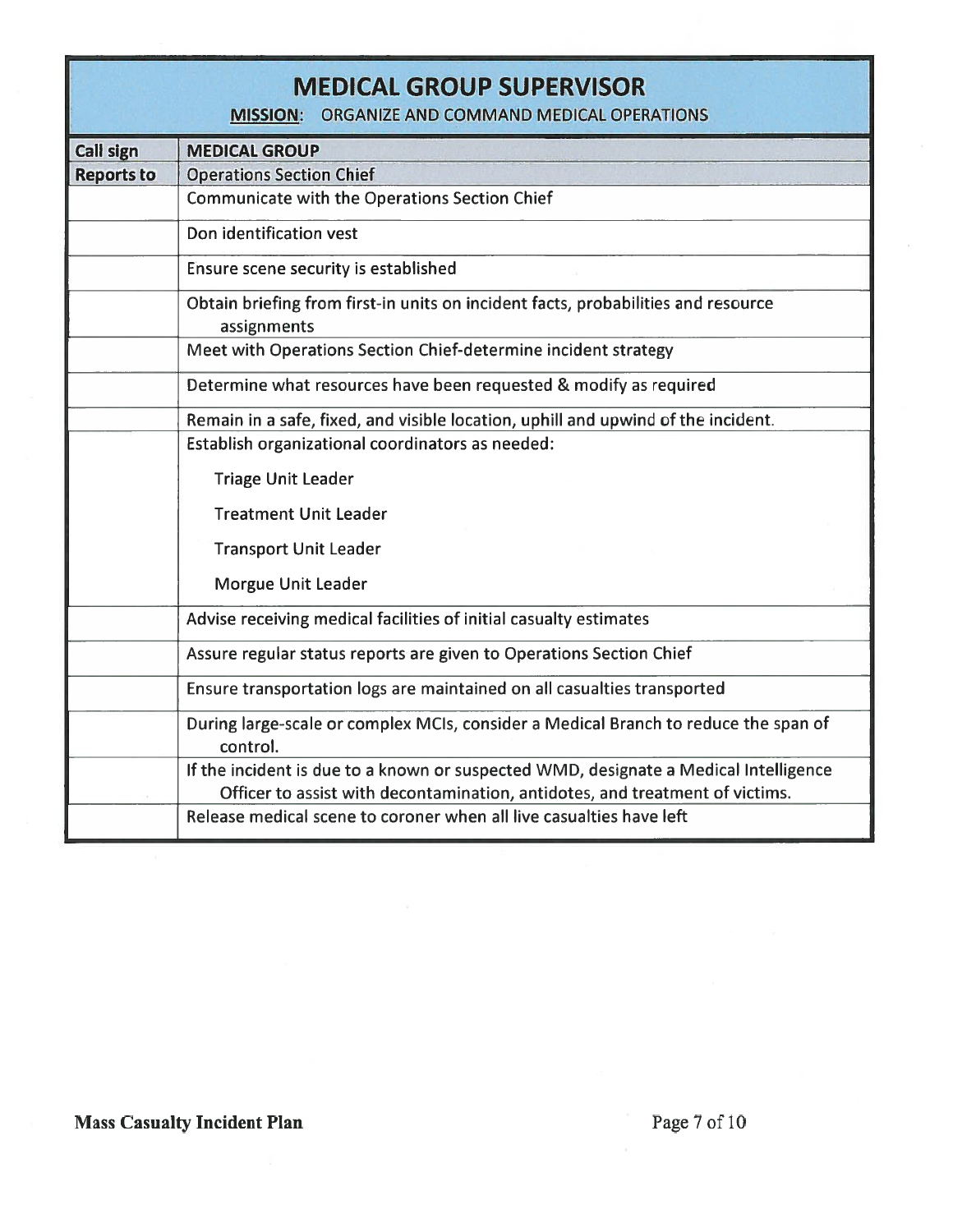|                   | <b>MEDICAL GROUP SUPERVISOR</b><br>ORGANIZE AND COMMAND MEDICAL OPERATIONS<br><b>MISSION:</b>                                                                        |
|-------------------|----------------------------------------------------------------------------------------------------------------------------------------------------------------------|
| Call sign         | <b>MEDICAL GROUP</b>                                                                                                                                                 |
| <b>Reports to</b> | <b>Operations Section Chief</b>                                                                                                                                      |
|                   | <b>Communicate with the Operations Section Chief</b>                                                                                                                 |
|                   | Don identification vest                                                                                                                                              |
|                   | Ensure scene security is established                                                                                                                                 |
|                   | Obtain briefing from first-in units on incident facts, probabilities and resource<br>assignments                                                                     |
|                   | Meet with Operations Section Chief-determine incident strategy                                                                                                       |
|                   | Determine what resources have been requested & modify as required                                                                                                    |
|                   | Remain in a safe, fixed, and visible location, uphill and upwind of the incident.                                                                                    |
|                   | Establish organizational coordinators as needed:                                                                                                                     |
|                   | <b>Triage Unit Leader</b>                                                                                                                                            |
|                   | <b>Treatment Unit Leader</b>                                                                                                                                         |
|                   | <b>Transport Unit Leader</b>                                                                                                                                         |
|                   | Morgue Unit Leader                                                                                                                                                   |
|                   | Advise receiving medical facilities of initial casualty estimates                                                                                                    |
|                   | Assure regular status reports are given to Operations Section Chief                                                                                                  |
|                   | Ensure transportation logs are maintained on all casualties transported                                                                                              |
|                   | During large-scale or complex MCIs, consider a Medical Branch to reduce the span of<br>control.                                                                      |
|                   | If the incident is due to a known or suspected WMD, designate a Medical Intelligence<br>Officer to assist with decontamination, antidotes, and treatment of victims. |
|                   | Release medical scene to coroner when all live casualties have left                                                                                                  |

## Mass Casualty Incident Plan Page 7 of 10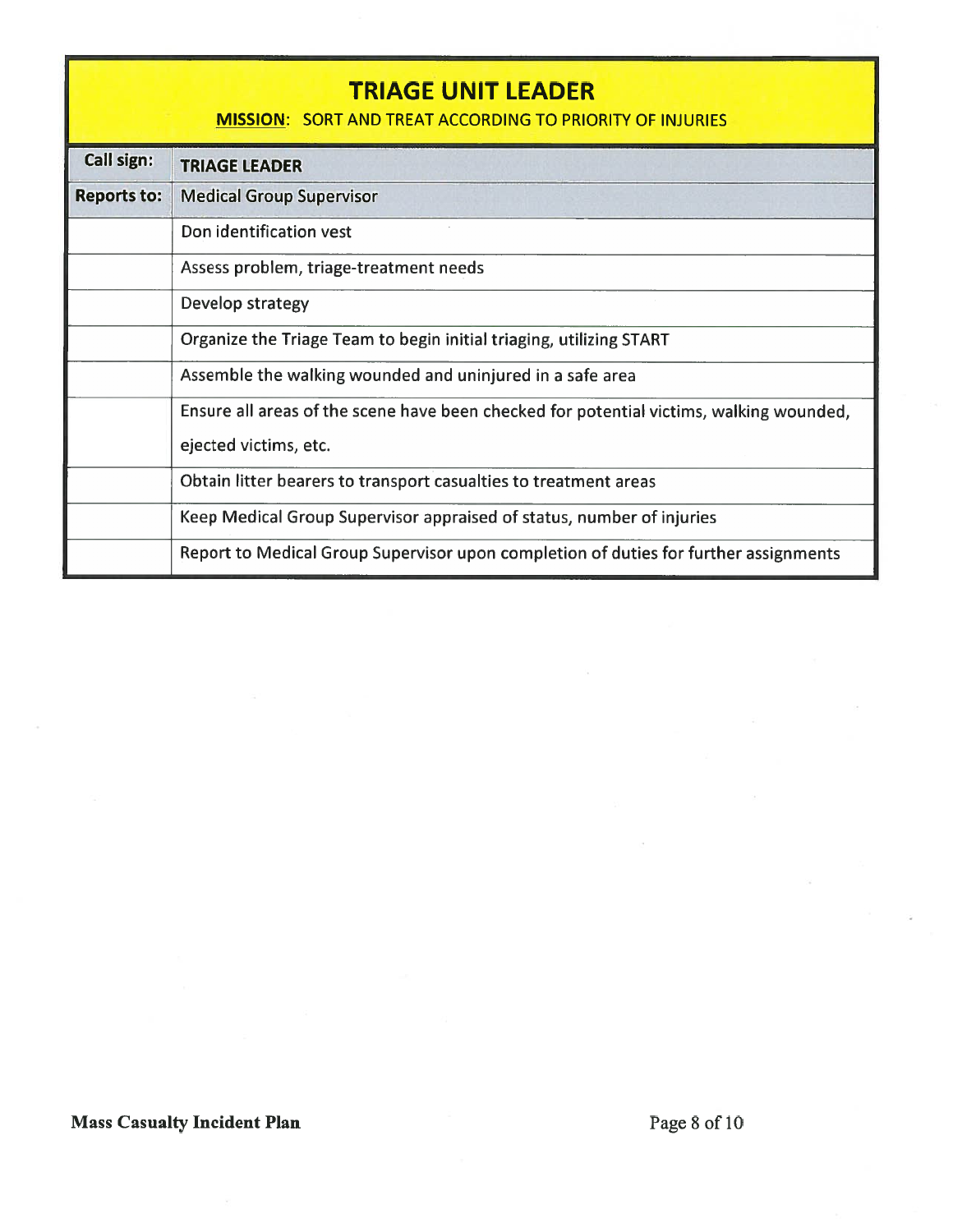|                    | TRIAGE UNIT LEADER<br><b>MISSION: SORT AND TREAT ACCORDING TO PRIORITY OF INJURIES</b>  |
|--------------------|-----------------------------------------------------------------------------------------|
| Call sign:         | <b>TRIAGE LEADER</b>                                                                    |
| <b>Reports to:</b> | <b>Medical Group Supervisor</b>                                                         |
|                    | Don identification vest                                                                 |
|                    | Assess problem, triage-treatment needs                                                  |
|                    | Develop strategy                                                                        |
|                    | Organize the Triage Team to begin initial triaging, utilizing START                     |
|                    | Assemble the walking wounded and uninjured in a safe area                               |
|                    | Ensure all areas of the scene have been checked for potential victims, walking wounded, |
|                    | ejected victims, etc.                                                                   |
|                    | Obtain litter bearers to transport casualties to treatment areas                        |
|                    | Keep Medical Group Supervisor appraised of status, number of injuries                   |
|                    | Report to Medical Group Supervisor upon completion of duties for further assignments    |

# Mass Casualty Incident Plan Page 8 of 10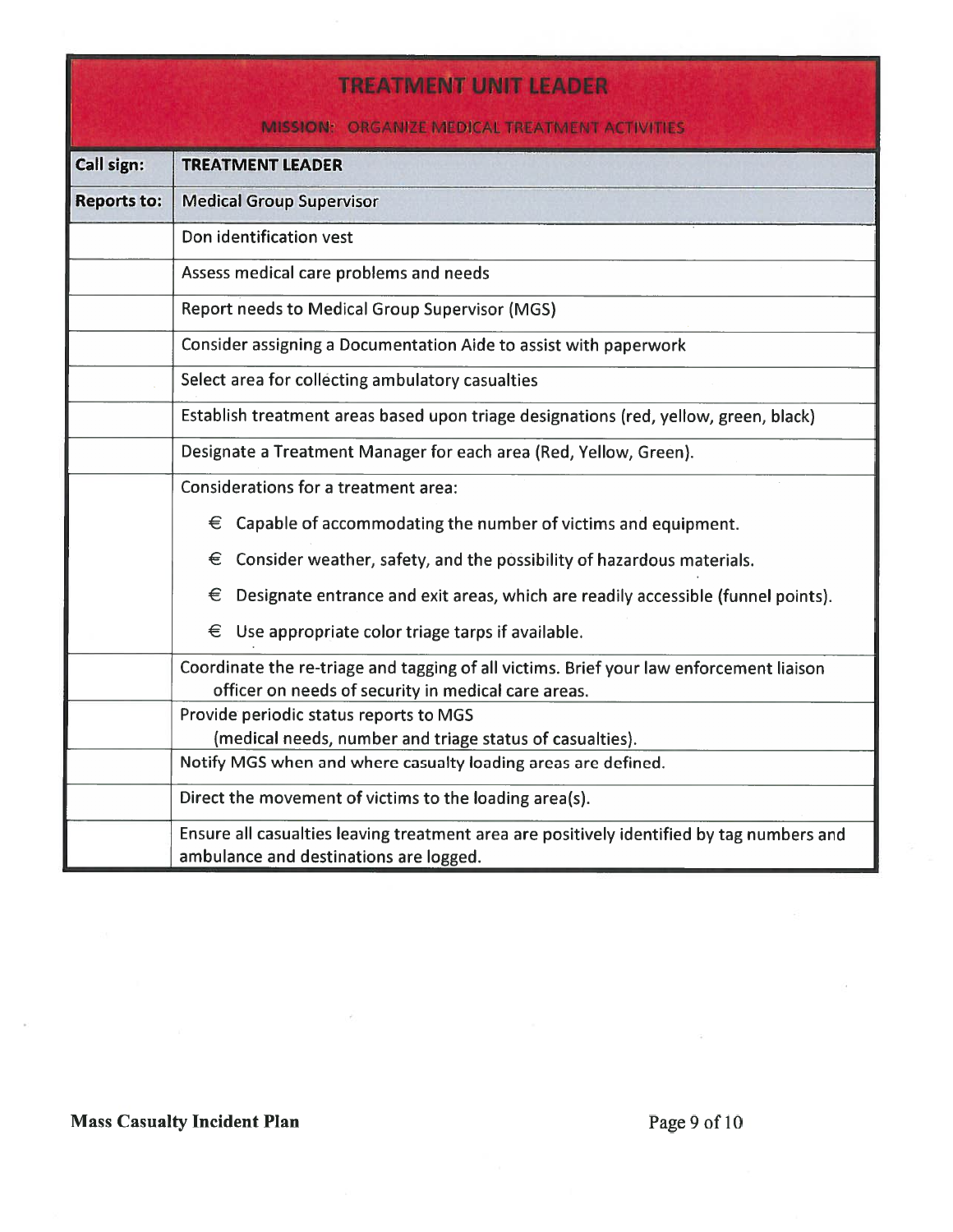| <b>TREATMENT UNIT LEADER</b> |                                                                                                                                                |  |
|------------------------------|------------------------------------------------------------------------------------------------------------------------------------------------|--|
|                              | <b>MISSION: ORGANIZE MEDICAL TREATMENT ACTIVITIES</b>                                                                                          |  |
| Call sign:                   | <b>TREATMENT LEADER</b>                                                                                                                        |  |
| <b>Reports to:</b>           | <b>Medical Group Supervisor</b>                                                                                                                |  |
|                              | Don identification vest                                                                                                                        |  |
|                              | Assess medical care problems and needs                                                                                                         |  |
|                              | <b>Report needs to Medical Group Supervisor (MGS)</b>                                                                                          |  |
|                              | Consider assigning a Documentation Aide to assist with paperwork                                                                               |  |
|                              | Select area for collecting ambulatory casualties                                                                                               |  |
|                              | Establish treatment areas based upon triage designations (red, yellow, green, black)                                                           |  |
|                              | Designate a Treatment Manager for each area (Red, Yellow, Green).                                                                              |  |
|                              | Considerations for a treatment area:                                                                                                           |  |
|                              | $\epsilon$ Capable of accommodating the number of victims and equipment.                                                                       |  |
|                              | $\epsilon$ Consider weather, safety, and the possibility of hazardous materials.                                                               |  |
|                              | Designate entrance and exit areas, which are readily accessible (funnel points).<br>€                                                          |  |
|                              | €<br>Use appropriate color triage tarps if available.                                                                                          |  |
|                              | Coordinate the re-triage and tagging of all victims. Brief your law enforcement liaison<br>officer on needs of security in medical care areas. |  |
|                              | Provide periodic status reports to MGS                                                                                                         |  |
|                              | (medical needs, number and triage status of casualties).                                                                                       |  |
|                              | Notify MGS when and where casualty loading areas are defined.                                                                                  |  |
|                              | Direct the movement of victims to the loading area(s).                                                                                         |  |
|                              | Ensure all casualties leaving treatment area are positively identified by tag numbers and<br>ambulance and destinations are logged.            |  |

# Mass Casualty Incident Plan Page 9 of 10

×

é.